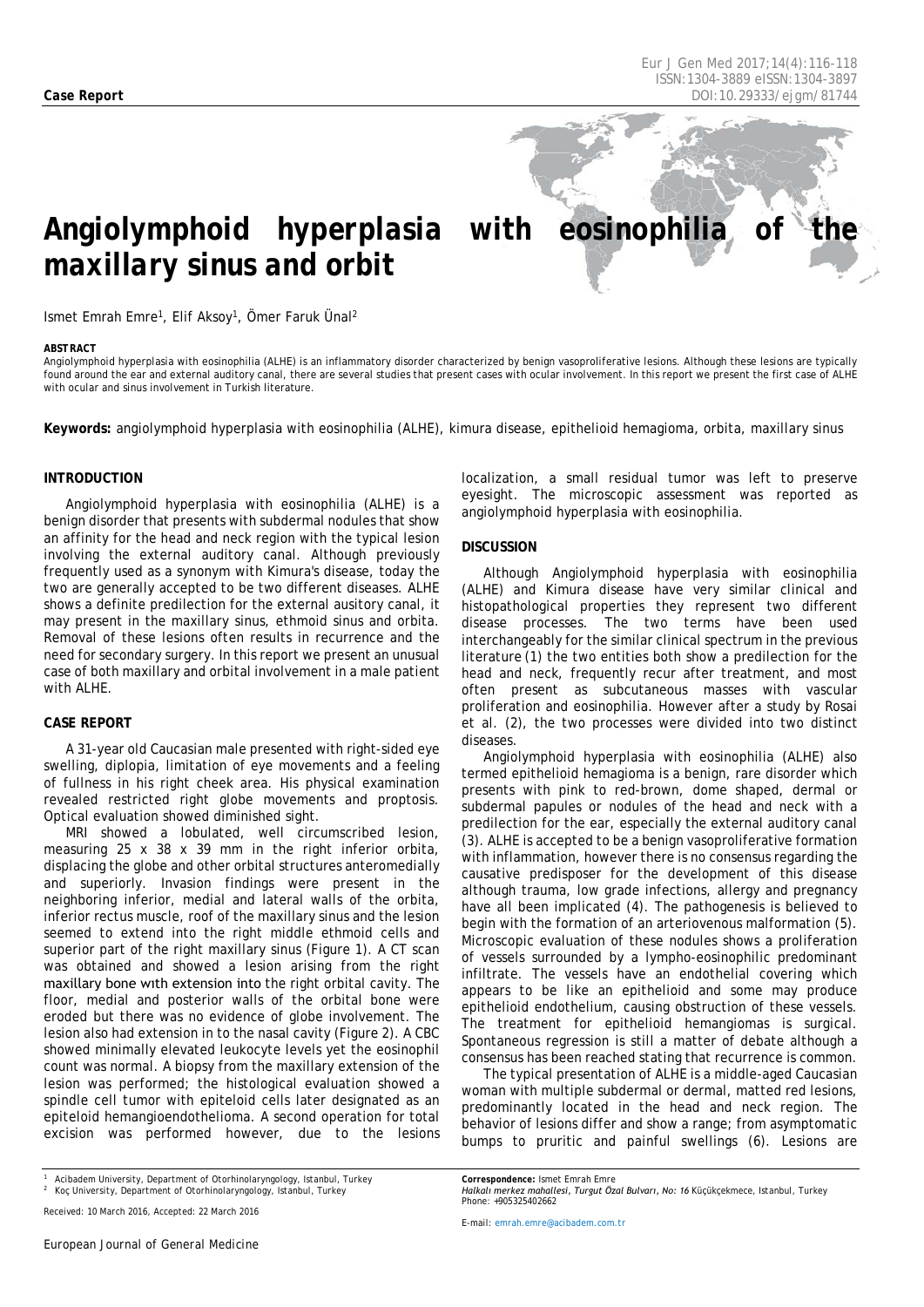# Angiolymphoid hyperplasia with eosinophilia of *maxillary sinus and orbit*

Ismet Emrah Emre1, Elif Aksoy1, Ömer Faruk Ünal2

#### <span id="page-0-0"></span>*ABSTRACT*

Angiolymphoid hyperplasia with eosinophilia (ALHE) is an inflammatory disorder characterized by benign vasoproliferative lesions. Although these lesions are typically found around the ear and external auditory canal, there are several studies that present cases with ocular involvement. In this report we present the first case of ALHE with ocular and sinus involvement in Turkish literature.

**Keywords:** angiolymphoid hyperplasia with eosinophilia (ALHE), kimura disease, epithelioid hemagioma, orbita, maxillary sinus

### **INTRODUCTION**

Angiolymphoid hyperplasia with eosinophilia (ALHE) is a benign disorder that presents with subdermal nodules that show an affinity for the head and neck region with the typical lesion involving the external auditory canal. Although previously frequently used as a synonym with Kimura's disease, today the two are generally accepted to be two different diseases. ALHE shows a definite predilection for the external ausitory canal, it may present in the maxillary sinus, ethmoid sinus and orbita. Removal of these lesions often results in recurrence and the need for secondary surgery. In this report we present an unusual case of both maxillary and orbital involvement in a male patient with ALHE.

### **CASE REPORT**

A 31-year old Caucasian male presented with right-sided eye swelling, diplopia, limitation of eye movements and a feeling of fullness in his right cheek area. His physical examination revealed restricted right globe movements and proptosis. Optical evaluation showed diminished sight.

MRI showed a lobulated, well circumscribed lesion, measuring 25 x 38 x 39 mm in the right inferior orbita, displacing the globe and other orbital structures anteromedially and superiorly. Invasion findings were present in the neighboring inferior, medial and lateral walls of the orbita, inferior rectus muscle, roof of the maxillary sinus and the lesion seemed to extend into the right middle ethmoid cells and superior part of the right maxillary sinus (Figure 1). A CT scan was obtained and showed a lesion arising from the right maxillary bone wıth extension into the right orbital cavity. The floor, medial and posterior walls of the orbital bone were eroded but there was no evidence of globe involvement. The lesion also had extension in to the nasal cavity (Figure 2). A CBC showed minimally elevated leukocyte levels yet the eosinophil count was normal. A biopsy from the maxillary extension of the lesion was performed; the histological evaluation showed a spindle cell tumor with epiteloid cells later designated as an epiteloid hemangioendothelioma. A second operation for total excision was performed however, due to the lesions

localization, a small residual tumor was left to preserve eyesight. The microscopic assessment was reported as angiolymphoid hyperplasia with eosinophilia.

#### **DISCUSSION**

Although Angiolymphoid hyperplasia with eosinophilia (ALHE) and Kimura disease have very similar clinical and histopathological properties they represent two different disease processes. The two terms have been used interchangeably for the similar clinical spectrum in the previous literature (1) the two entities both show a predilection for the head and neck, frequently recur after treatment, and most often present as subcutaneous masses with vascular proliferation and eosinophilia. However after a study by Rosai et al. (2), the two processes were divided into two distinct diseases.

Angiolymphoid hyperplasia with eosinophilia (ALHE) also termed epithelioid hemagioma is a benign, rare disorder which presents with pink to red-brown, dome shaped, dermal or subdermal papules or nodules of the head and neck with a predilection for the ear, especially the external auditory canal (3). ALHE is accepted to be a benign vasoproliferative formation with inflammation, however there is no consensus regarding the causative predisposer for the development of this disease although trauma, low grade infections, allergy and pregnancy have all been implicated (4). The pathogenesis is believed to begin with the formation of an arteriovenous malformation (5). Microscopic evaluation of these nodules shows a proliferation of vessels surrounded by a lympho-eosinophilic predominant infiltrate. The vessels have an endothelial covering which appears to be like an epithelioid and some may produce epithelioid endothelium, causing obstruction of these vessels. The treatment for epithelioid hemangiomas is surgical. Spontaneous regression is still a matter of debate although a consensus has been reached stating that recurrence is common.

The typical presentation of ALHE is a middle-aged Caucasian woman with multiple subdermal or dermal, matted red lesions, predominantly located in the head and neck region. The behavior of lesions differ and show a range; from asymptomatic bumps to pruritic and painful swellings (6). Lesions are

*Halkalı merkez mahallesi, Turgut Özal Bulvarı, No: 16 Küçükçekmece, Istanbul, Turkey*

*Correspondence: Ismet Emrah Emre*

*Phone: +905325402662*

*<sup>1</sup> Acibadem University, Department of Otorhinolaryngology, Istanbul, Turkey*

*<sup>2</sup> Koç University, Department of Otorhinolaryngology, Istanbul, Turkey*

*Received: 10 March 2016, Accepted: 22 March 2016*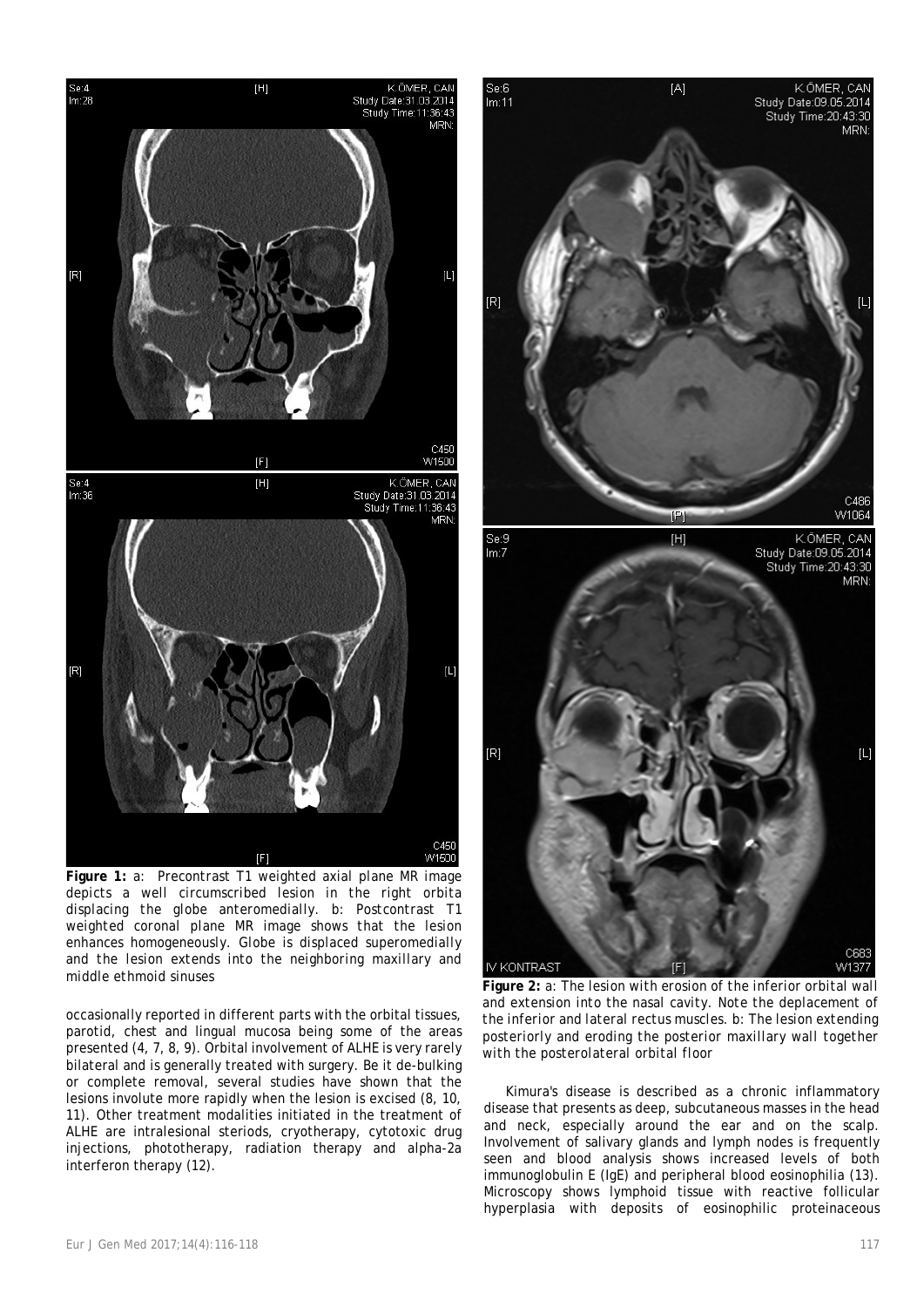

*and extension into the nasal cavity. Note the deplacement of the inferior and lateral rectus muscles. b: The lesion extending posteriorly and eroding the posterior maxillary wall together with the posterolateral orbital floor*

Kimura's disease is described as a chronic inflammatory disease that presents as deep, subcutaneous masses in the head and neck, especially around the ear and on the scalp. Involvement of salivary glands and lymph nodes is frequently seen and blood analysis shows increased levels of both immunoglobulin E (IgE) and peripheral blood eosinophilia (13). Microscopy shows lymphoid tissue with reactive follicular hyperplasia with deposits of eosinophilic proteinaceous



**Figure 1:** *a: Precontrast T1 weighted axial plane MR image depicts a well circumscribed lesion in the right orbita displacing the globe anteromedially. b: Postcontrast T1 weighted coronal plane MR image shows that the lesion enhances homogeneously. Globe is displaced superomedially and the lesion extends into the neighboring maxillary and* 

occasionally reported in different parts with the orbital tissues, parotid, chest and lingual mucosa being some of the areas presented (4, 7, 8, 9). Orbital involvement of ALHE is very rarely bilateral and is generally treated with surgery. Be it de-bulking or complete removal, several studies have shown that the lesions involute more rapidly when the lesion is excised (8, 10, 11). Other treatment modalities initiated in the treatment of ALHE are intralesional steriods, cryotherapy, cytotoxic drug injections, phototherapy, radiation therapy and alpha-2a interferon therapy (12).